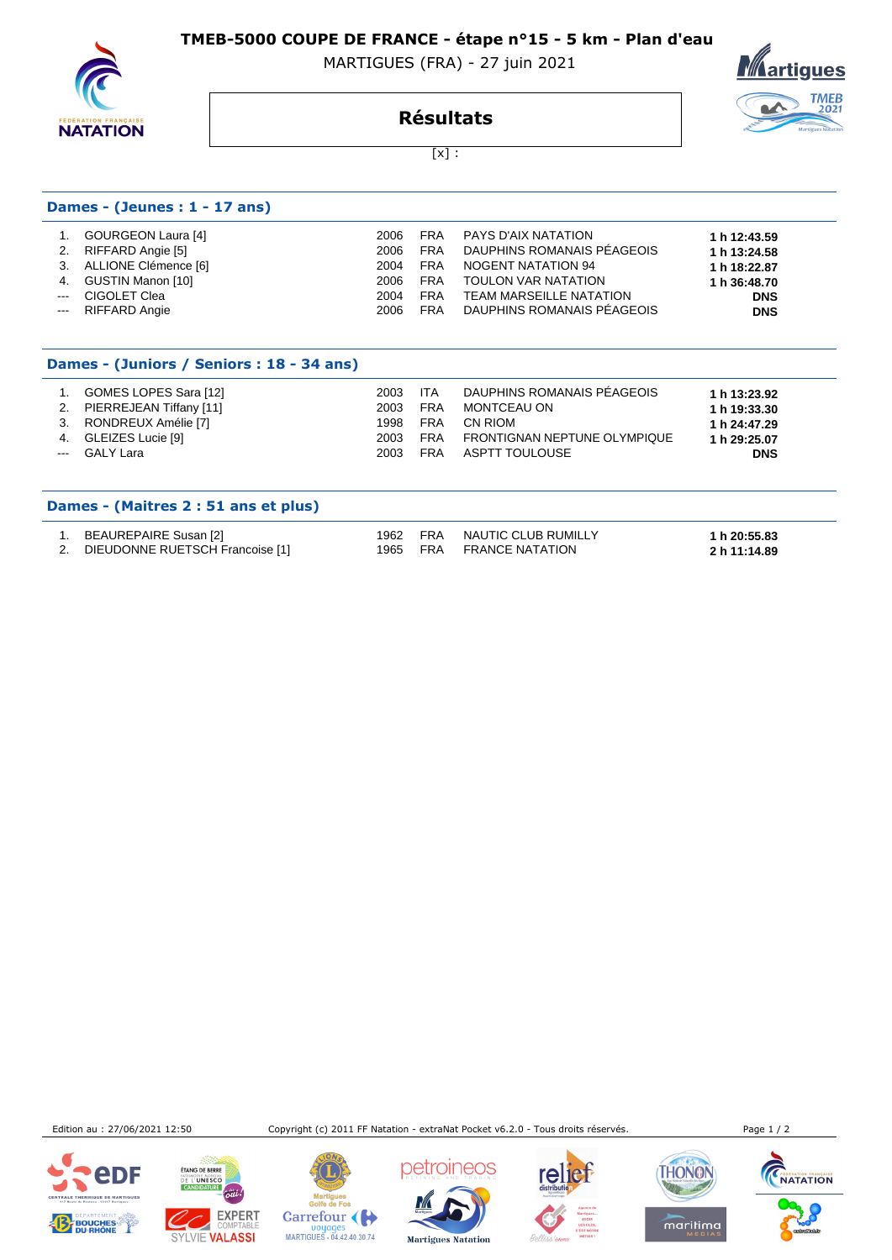**TMEB-5000 COUPE DE FRANCE - étape n°15 - 5 km - Plan d'eau** 

MARTIGUES (FRA) - 27 juin 2021



# **Résultats**



 $[x]$  :

## **Dames - (Jeunes : 1 - 17 ans)**

| PAYS D'AIX NATATION<br>GOURGEON Laura [4]<br>FRA<br>2006<br>DAUPHINS ROMANAIS PÉAGEOIS<br>2. RIFFARD Angie [5]<br><b>FRA</b><br>2006<br>3. ALLIONE Clémence [6]<br><b>FRA</b><br>NOGENT NATATION 94<br>2004<br>4. GUSTIN Manon [10]<br><b>TOULON VAR NATATION</b><br><b>FRA</b><br>2006<br>CIGOLET Clea<br>TEAM MARSEILLE NATATION<br><b>FRA</b><br>2004<br>$\frac{1}{2} \left( \frac{1}{2} \right) \left( \frac{1}{2} \right) \left( \frac{1}{2} \right) \left( \frac{1}{2} \right) \left( \frac{1}{2} \right) \left( \frac{1}{2} \right) \left( \frac{1}{2} \right) \left( \frac{1}{2} \right) \left( \frac{1}{2} \right) \left( \frac{1}{2} \right) \left( \frac{1}{2} \right) \left( \frac{1}{2} \right) \left( \frac{1}{2} \right) \left( \frac{1}{2} \right) \left( \frac{1}{2} \right) \left( \frac{1}{2} \right) \left( \frac$<br>DAUPHINS ROMANAIS PÉAGEOIS<br><b>FRA</b><br>--- RIFFARD Angie<br>2006 | 1 h 12:43.59<br>1 h 13:24.58<br>1 h 18:22.87<br>1 h 36:48.70<br><b>DNS</b><br><b>DNS</b> |
|-----------------------------------------------------------------------------------------------------------------------------------------------------------------------------------------------------------------------------------------------------------------------------------------------------------------------------------------------------------------------------------------------------------------------------------------------------------------------------------------------------------------------------------------------------------------------------------------------------------------------------------------------------------------------------------------------------------------------------------------------------------------------------------------------------------------------------------------------------------------------------------------------------------------|------------------------------------------------------------------------------------------|
|-----------------------------------------------------------------------------------------------------------------------------------------------------------------------------------------------------------------------------------------------------------------------------------------------------------------------------------------------------------------------------------------------------------------------------------------------------------------------------------------------------------------------------------------------------------------------------------------------------------------------------------------------------------------------------------------------------------------------------------------------------------------------------------------------------------------------------------------------------------------------------------------------------------------|------------------------------------------------------------------------------------------|

### **Dames - (Juniors / Seniors : 18 - 34 ans)**

| GOMES LOPES Sara [12]      | 2003 | ITA        | DAUPHINS ROMANAIS PÉAGEOIS   | 1 h 13:23.92 |
|----------------------------|------|------------|------------------------------|--------------|
| 2. PIERREJEAN Tiffany [11] | 2003 | <b>FRA</b> | MONTCEAU ON                  | 1 h 19:33.30 |
| 3. RONDREUX Amélie [7]     | 1998 | FRA        | CN RIOM                      | 1 h 24:47.29 |
| 4. GLEIZES Lucie [9]       | 2003 | FRA        | FRONTIGNAN NEPTUNE OLYMPIQUE | 1 h 29:25.07 |
| --- GALY Lara              | 2003 | FRA        | ASPTT TOULOUSE               | <b>DNS</b>   |

#### **Dames - (Maitres 2 : 51 ans et plus)**

|  | BEAUREPAIRE Susan [2]<br>2. DIEUDONNE RUETSCH Francoise [1] | 1962 FRA |  | NAUTIC CLUB RUMILLY<br>1965 FRA FRANCE NATATION | 1 h 20:55.83<br>2 h 11:14.89 |
|--|-------------------------------------------------------------|----------|--|-------------------------------------------------|------------------------------|
|--|-------------------------------------------------------------|----------|--|-------------------------------------------------|------------------------------|

Edition au : 27/06/2021 12:50 Copyright (c) 2011 FF Natation - extraNat Pocket v6.2.0 - Tous droits réservés. Page 1 / 2